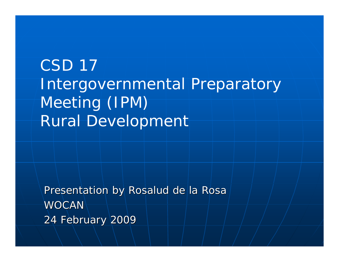## CSD 17 Intergovernmental Preparatory Meeting (IPM) Rural Development

Presentation by Rosalud de la Rosal **WOCAN** 24 February 2009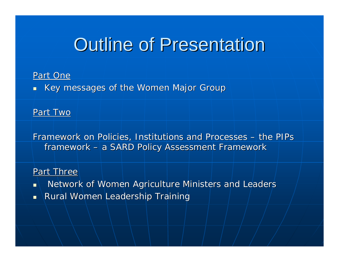## **Outline of Presentation**

#### Part One

 $\blacksquare$  Key messages of the Women Major Group

Part Two

Framework on Policies, Institutions and Processes – *the PIPs framework framework* –– a SARD Policy Assessment Framework

#### Part Three

- $\blacksquare$ Network of Women Agriculture Ministers and Leaders
- $\blacksquare$  Rural Women Leadership Training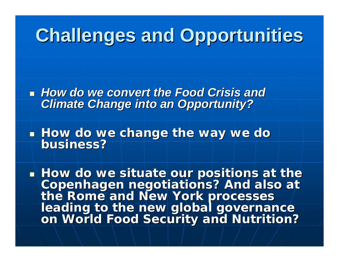# **Challenges and Opportunities Challenges and Opportunities**

**How do we convert the Food Crisis and Food Food Crisis and** *Climate Change into an Opportunity? Climate Change into an Opportunity?*

 $\mathbb{R}^2$ **How do we change the way we do we do we do we do we do we do we do we do we do** business?

 $\blacksquare$  How do we situate our positions at the **Copenhagen negotiations? And also at<br>the Rome and New York processes<br>leading to the new global governance<br>on World Food Security and Nutrition?**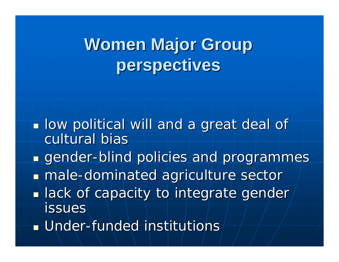# **Women Major Group perspectives perspectives**

- **Iow political will and a great deal of** cultural bias
- **n** gender-blind policies and programmes
- **nale-dominated agriculture sector**
- $\blacksquare$  lack of capacity to integrate gender issues
- $\blacksquare$  Under-funded institutions $\dashv$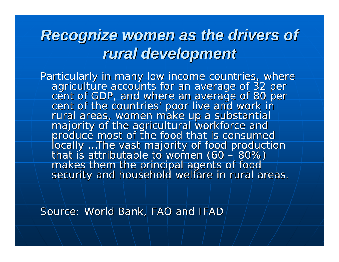## **Recognize women as the drivers of** *rural development rural development*

Particularly in many low income countries, where<br>agriculture accounts for an average of 32 per<br>cent of GDP, and where an average of 80 per<br>cent of the countries' poor live and work in rural areas, women make up a substantial<br>majority of the agricultural workforce and<br>produce most of the food that is consumed<br>locally ...The vast majority of food production *locally …The vast majority of food production<br>that is attributable to women (60 – 80%) – 80%) makes them the principal agents of food makes them the principal agents of food security and household welfare in rural areas. security and household welfare in rural areas.*

Source: World Bank, FAO and IFAD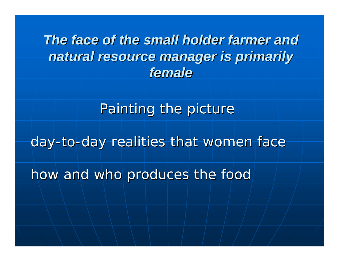*The face of the small holder farmer and The face of the small holder farmer and natural resource manager is primarily natural resource manager is primarily female*

Painting the picture

*day -to -day realities that women face day realities that women face* 

*how and who produces the food how and who produces the food*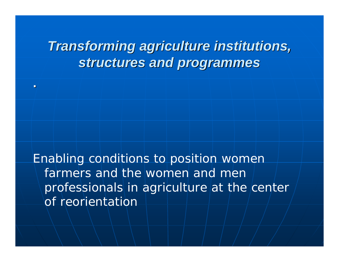#### *Transforming agriculture institutions, Transforming agriculture institutions,*  structures and programmes

**.** 

Enabling conditions to position women farmers and the women and men professionals in agriculture at the center of reorientation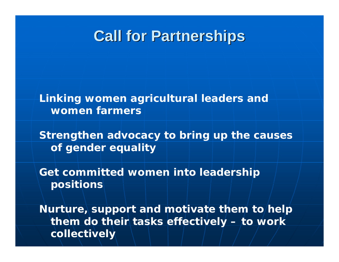#### **Call for Partnerships Call for Partnerships**

*Linking women agricultural leaders and women farmers* 

*Strengthen advocacy to bring up the causes of gender equality*

*Get committed women into leadership positions* 

*Nurture, support and motivate them to help them do their tasks effectively – to work collectively*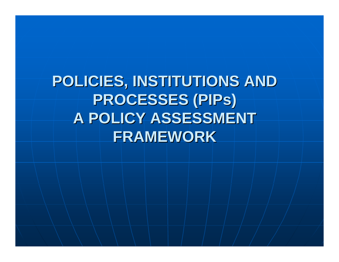**POLICIES, INSTITUTIONS AND POLICIES, INSTITUTIONS AND PROCESSES (PIPs) A POLICY ASSESSMENT FRAMEWORK**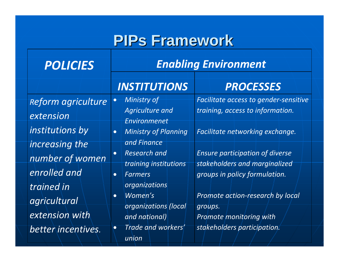### **PIPs Framework PIPs Framework**

| <b>POLICIES</b>                      | <b>Enabling Environment</b>                                                              |                                                                                                          |
|--------------------------------------|------------------------------------------------------------------------------------------|----------------------------------------------------------------------------------------------------------|
|                                      | <b>INSTITUTIONS</b>                                                                      | <b>PROCESSES</b>                                                                                         |
| Reform agriculture<br>extension      | Ministry of<br>$\bullet$<br><b>Agriculture and</b><br>Environmenet                       | Facilitate access to gender-sensitive<br>training, access to information.                                |
| institutions by<br>increasing the    | <b>Ministry of Planning</b><br>$\bullet$<br>and Finance                                  | Facilitate networking exchange.                                                                          |
| number of women<br>enrolled and      | <b>Research and</b><br>$\bullet$<br>training institutions<br><b>Farmers</b><br>$\bullet$ | <b>Ensure participation of diverse</b><br>stakeholders and marginalized<br>groups in policy formulation. |
| trained in<br>agricultural           | organizations<br>Women's<br>$\bullet$                                                    | Promote action-research by local                                                                         |
| extension with<br>better incentives. | organizations (local<br>and national)<br>Trade and workers'<br>$\bullet$<br>union        | groups.<br>Promote monitoring with<br>stakeholders participation.                                        |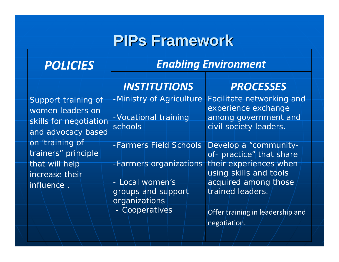### **PIPs Framework PIPs Framework**

| <b>POLICIES</b>                                                                         | <b>Enabling Environment</b>                                  |                                                                                                    |
|-----------------------------------------------------------------------------------------|--------------------------------------------------------------|----------------------------------------------------------------------------------------------------|
|                                                                                         | <b>INSTITUTIONS</b>                                          | <b>PROCESSES</b>                                                                                   |
| Support training of<br>women leaders on<br>skills for negotiation<br>and advocacy based | -Ministry of Agriculture<br>- Vocational training<br>schools | Facilitate networking and<br>experience exchange<br>among government and<br>civil society leaders. |
| on 'training of<br>trainers" principle                                                  | - Farmers Field Schools                                      | Develop a "community-<br>of- practice" that share                                                  |
| that will help<br>increase their                                                        | -Farmers organizations                                       | their experiences when<br>using skills and tools                                                   |
| <i>influence</i> .                                                                      | - Local women's<br>groups and support<br>organizations       | acquired among those<br>trained leaders.                                                           |
|                                                                                         | - Cooperatives                                               | Offer training in leadership and<br>negotiation.                                                   |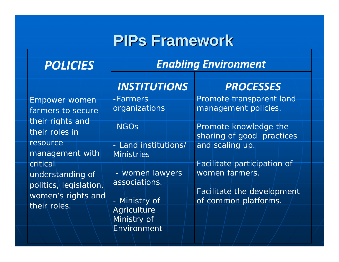### **PIPs Framework PIPs Framework**

| <b>POLICIES</b>                                                                    | <b>Enabling Environment</b>                         |                                                    |
|------------------------------------------------------------------------------------|-----------------------------------------------------|----------------------------------------------------|
|                                                                                    | <b>INSTITUTIONS</b>                                 | <b>PROCESSES</b>                                   |
| <b>Empower</b> women<br>farmers to secure                                          | -Farmers<br>organizations                           | Promote transparent land<br>management policies.   |
| their roles in                                                                     | $-NGOS$                                             | Promote knowledge the<br>sharing of good practices |
| management with                                                                    | Land institutions/<br>$\equiv$<br><b>Ministries</b> |                                                    |
| understanding of                                                                   | - women lawyers                                     | women farmers.                                     |
| women's rights and                                                                 | - Ministry of                                       | Facilitate the development<br>of common platforms. |
|                                                                                    | Ministry of<br>Environment                          |                                                    |
| their rights and<br>resource<br>critical<br>politics, legislation,<br>their roles. | associations.<br>Agriculture                        | and scaling up.<br>Facilitate participation of     |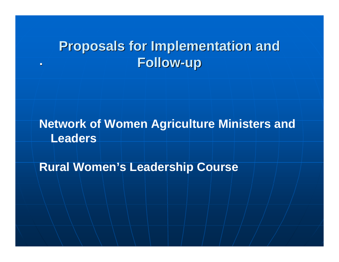#### **Proposals for Implementation and Proposals for Implementation and Follow -up .**

#### **Network of Women Agriculture Ministers and Leaders**

**Rural Women's Leadership Course**